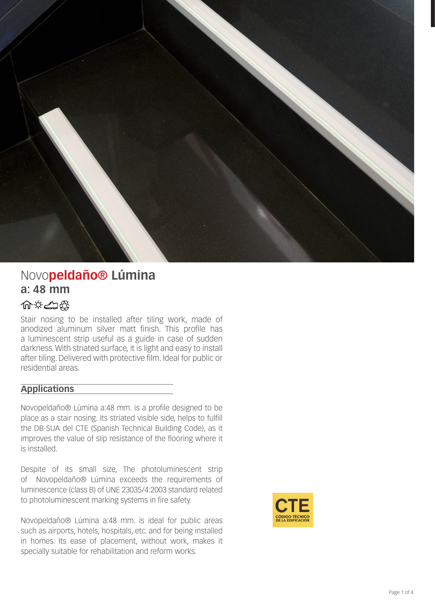

# Novo**peldaño® Lúmina a: 48 mm**

# 命文士爵

Stair nosing to be installed after tiling work, made of anodized aluminum silver matt finish. This profile has a luminescent strip useful as a guide in case of sudden darkness. With striated surface, it is light and easy to install after tiling. Delivered with protective film. Ideal for public or residential areas.

# **Applications**

Novopeldaño® Lúmina a:48 mm. is a profile designed to be place as a stair nosing. Its striated visible side, helps to fulfill the DB-SUA del CTE (Spanish Technical Building Code), as it improves the value of slip resistance of the flooring where it is installed.

Despite of its small size, The photoluminescent strip of Novopeldaño® Lúmina exceeds the requirements of luminescence (class B) of UNE 23035/4:2003 standard related to photoluminescent marking systems in fire safety.

Novopeldaño® Lúmina a:48 mm. is ideal for public areas such as airports, hotels, hospitals, etc. and for being installed in homes. Its ease of placement, without work, makes it specially suitable for rehabilitation and reform works.

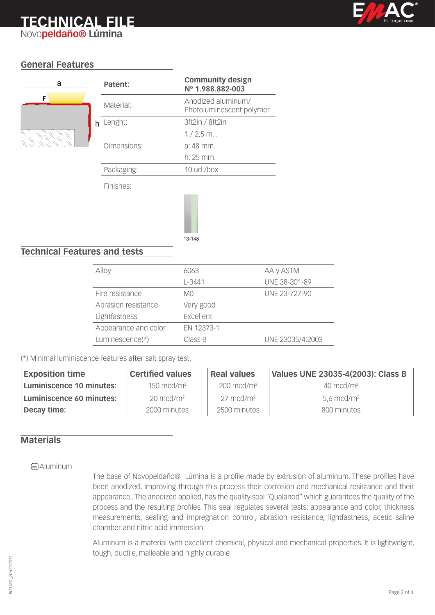# **TECHNICAL FILE** Novo**peldaño® Lúmina**



# **General Features**



| Patent:     | <b>Community design</b><br>Nº 1.988.882-003    |
|-------------|------------------------------------------------|
| Material:   | Anodized aluminum/<br>Photoluminescent polymer |
| Lenght:     | 3ft2in / 8ft2in                                |
|             | $1/2.5$ m.l.                                   |
| Dimensions: | a: 48 mm.                                      |
|             | $h: 25$ mm.                                    |
| Packaging:  | $10$ ud./box                                   |
|             |                                                |

Finishes:



# **Technical Features and tests**

| Alloy                | 6063       | AA y ASTM        |
|----------------------|------------|------------------|
|                      | $L - 3441$ | UNE 38-301-89    |
| Fire resistance      | M0         | UNE 23-727-90    |
| Abrasion resistance  | Very good  |                  |
| Lightfastness        | Excellent  |                  |
| Appearance and color | EN 12373-1 |                  |
| Luminescence(*)      | Class B    | UNE 23035/4:2003 |

(\*) Minimal luminiscence features after salt spray test.

| <b>Exposition time</b>   | <b>Certified values</b> | <b>Real values</b>    | Values UNE 23035-4(2003): Class B |
|--------------------------|-------------------------|-----------------------|-----------------------------------|
| Luminiscence 10 minutes: | $150 \text{ mcd/m}^2$   | $200 \text{ mcd/m}^2$ | $40 \text{ mcd/m}^2$              |
| Luminiscence 60 minutes: | $20 \text{ mcd/m}^2$    | $27 \text{ mcd/m}^2$  | $5.6 \text{ mcd/m}^2$             |
| Decay time:              | 2000 minutes            | 2500 minutes          | 800 minutes                       |

#### **Materials**

#### **AD** Aluminum

The base of Novopeldaño® Lúmina is a profile made by extrusion of aluminum. These profiles have been anodized, improving through this process their corrosion and mechanical resistance and their appearance.. The anodized applied, has the quality seal "Qualanod" which guarantees the quality of the process and the resulting profiles. This seal regulates several tests: appearance and color, thickness measurements, sealing and impregnation control, abrasion resistance, lightfastness, acetic saline chamber and nitric acid immersion.

Aluminum is a material with excellent chemical, physical and mechanical properties. It is lightweight, tough, ductile, malleable and highly durable.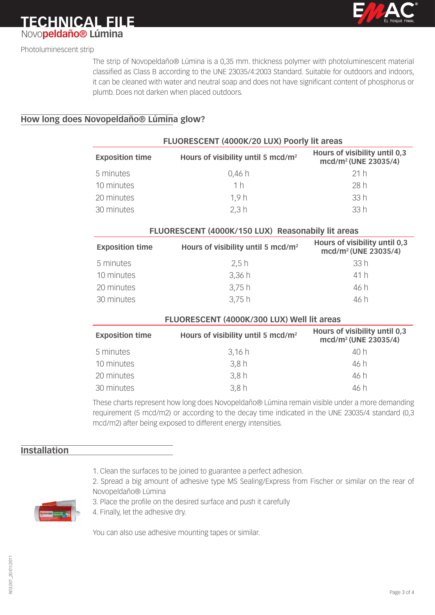

**TECHNICAL FILE** Novo**peldaño® Lúmina**

Photoluminescent strip

The strip of Novopeldaño® Lúmina is a 0,35 mm. thickness polymer with photoluminescent material classified as Class B according to the UNE 23035/4:2003 Standard. Suitable for outdoors and indoors, it can be cleaned with water and neutral soap and does not have significant content of phosphorus or plumb. Does not darken when placed outdoors.

### **How long does Novopeldaño® Lúmina glow?**

| FLUORESCENT (4000K/20 LUX) Poorly lit areas |                                                |                                                                   |
|---------------------------------------------|------------------------------------------------|-------------------------------------------------------------------|
| <b>Exposition time</b>                      | Hours of visibility until 5 mcd/m <sup>2</sup> | Hours of visibility until 0,3<br>mcd/m <sup>2</sup> (UNE 23035/4) |
| 5 minutes                                   | 0,46h                                          | 21 h                                                              |
| 10 minutes                                  | 1 <sub>h</sub>                                 | 28 h                                                              |
| 20 minutes                                  | 1.9h                                           | 33h                                                               |
| 30 minutes                                  | 2,3 h                                          | 33h                                                               |

| <b>Exposition time</b> | Hours of visibility until 5 mcd/m <sup>2</sup> | Hours of visibility until 0,3<br>mcd/m <sup>2</sup> (UNE 23035/4) |
|------------------------|------------------------------------------------|-------------------------------------------------------------------|
| 5 minutes              | 2.5h                                           | 33 h                                                              |
| 10 minutes             | 3,36h                                          | 41 h                                                              |
| 20 minutes             | 3,75h                                          | 46 h                                                              |
| 30 minutes             | 3,75h                                          | 46 h                                                              |

**FLUORESCENT (4000K/150 LUX) Reasonabily lit areas**

| FLUORESCENT (4000K/300 LUX) Well lit areas |                                                |                                                                   |  |
|--------------------------------------------|------------------------------------------------|-------------------------------------------------------------------|--|
| <b>Exposition time</b>                     | Hours of visibility until 5 mcd/m <sup>2</sup> | Hours of visibility until 0,3<br>mcd/m <sup>2</sup> (UNE 23035/4) |  |
| 5 minutes                                  | 3,16h                                          | 40 h                                                              |  |
| 10 minutes                                 | 3,8h                                           | 46 h                                                              |  |
| 20 minutes                                 | 3,8h                                           | 46 h                                                              |  |
| 30 minutes                                 | 3,8h                                           | 46 h                                                              |  |

These charts represent how long does Novopeldaño® Lúmina remain visible under a more demanding requirement (5 mcd/m2) or according to the decay time indicated in the UNE 23035/4 standard (0,3 mcd/m2) after being exposed to different energy intensities.

# **Installation**

- 1. Clean the surfaces to be joined to guarantee a perfect adhesion.
- 2. Spread a big amount of adhesive type MS Sealing/Express from Fischer or similar on the rear of Novopeldaño® Lúmina



- 3. Place the profile on the desired surface and push it carefully
- 4. Finally, let the adhesive dry.

You can also use adhesive mounting tapes or similar.